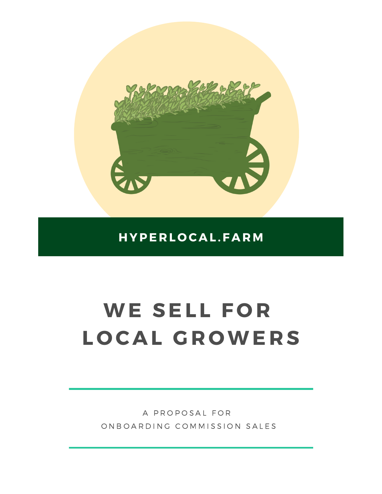

### **H YPE R L O C A L . F A R M**

# **WE SEL L F O R L O C A L G R OWE R S**

A PROPOSAL FOR ON BOARDING COMMISSION SALES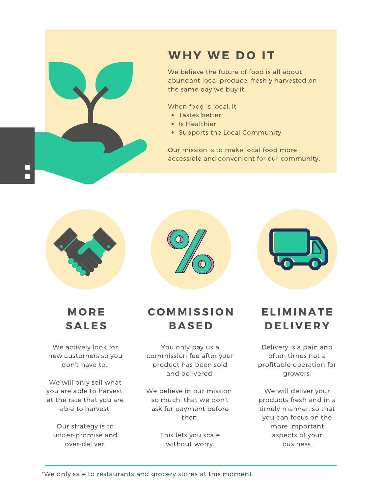

## **WH Y WE D O I T**

We believe the future of food is all about abundant local produce, freshly harvested on the same day we buy it.

When food is local, it

- Tastes better
- Is Healthier
- Supports the Local Community

Our mission is to make local food more accessible and convenient for our community.





We actively look for new customers so you don't have to.

We will only sell what you are able to harvest, at the rate that you are able to harvest.

Our strategy is to under-promise and over-deliver.

### **C O M M ISSI O N B A SE D**

You only pay us a commission fee after your product has been sold and delivered.

We believe in our mission so much, that we don't ask for payment before then.

> This lets you scale without worry.



**EL I M I N A TE D EL I V E R Y**

Delivery is a pain and often times not a profitable operation for growers.

We will deliver your products fresh and in a timely manner, so that you can focus on the more important aspects of your business.